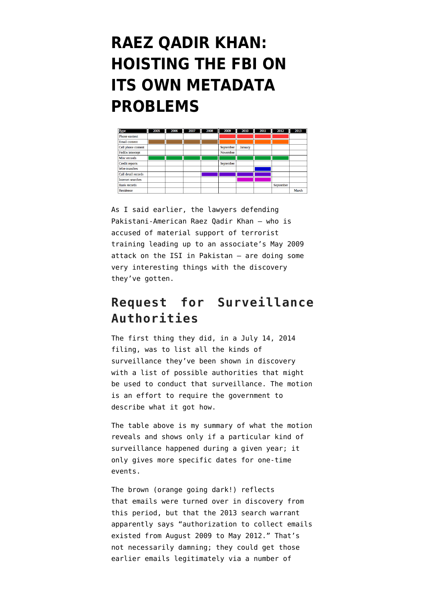## **[RAEZ QADIR KHAN:](https://www.emptywheel.net/2014/09/21/raez-qadir-khan-hoisting-the-fbi-on-its-own-metadata-problems/) [HOISTING THE FBI ON](https://www.emptywheel.net/2014/09/21/raez-qadir-khan-hoisting-the-fbi-on-its-own-metadata-problems/) [ITS OWN METADATA](https://www.emptywheel.net/2014/09/21/raez-qadir-khan-hoisting-the-fbi-on-its-own-metadata-problems/) [PROBLEMS](https://www.emptywheel.net/2014/09/21/raez-qadir-khan-hoisting-the-fbi-on-its-own-metadata-problems/)**



As I said earlier, the lawyers defending Pakistani-American Raez Qadir Khan — who is accused of material support of terrorist training leading up to an associate's May 2009 attack on the ISI in Pakistan — are doing some very interesting things with the discovery they've gotten.

## **Request for Surveillance Authorities**

The first thing they did, in a [July 14, 2014](http://www.emptywheel.net/wp-content/uploads/2014/09/140714-Motion-to-Compel-Source-of-Intelligence.pdf) [filing](http://www.emptywheel.net/wp-content/uploads/2014/09/140714-Motion-to-Compel-Source-of-Intelligence.pdf), was to list all the kinds of surveillance they've been shown in discovery with a list of possible authorities that might be used to conduct that surveillance. The motion is an effort to require the government to describe what it got how.

The table above is my summary of what the motion reveals and shows only if a particular kind of surveillance happened during a given year; it only gives more specific dates for one-time events.

The brown (orange going dark!) reflects that emails were turned over in discovery from this period, but that the 2013 search warrant apparently says "authorization to collect emails existed from August 2009 to May 2012." That's not necessarily damning; they could get those earlier emails legitimately via a number of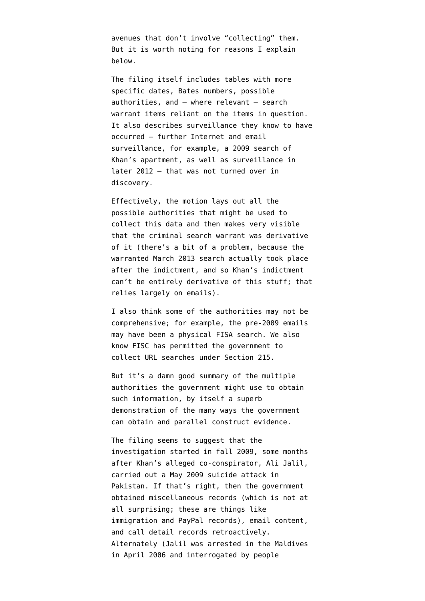avenues that don't involve "collecting" them. But it is worth noting for reasons I explain below.

The filing itself includes tables with more specific dates, Bates numbers, possible authorities, and — where relevant — search warrant items reliant on the items in question. It also describes surveillance they know to have occurred — further Internet and email surveillance, for example, a 2009 search of Khan's apartment, as well as surveillance in later 2012 — that was not turned over in discovery.

Effectively, the motion lays out all the possible authorities that might be used to collect this data and then makes very visible that the criminal search warrant was derivative of it (there's a bit of a problem, because the warranted March 2013 search actually took place after the indictment, and so Khan's indictment can't be entirely derivative of this stuff; that relies largely on emails).

I also think some of the authorities may not be comprehensive; for example, the pre-2009 emails may have been a physical FISA search. We also know FISC has permitted the government to collect URL searches under Section 215.

But it's a damn good summary of the multiple authorities the government might use to obtain such information, by itself a superb demonstration of the many ways the government can obtain and parallel construct evidence.

The filing seems to suggest that the investigation started in fall 2009, some months after Khan's alleged co-conspirator, Ali Jalil, carried out a May 2009 suicide attack in Pakistan. If that's right, then the government obtained miscellaneous records (which is not at all surprising; these are things like immigration and PayPal records), email content, and call detail records retroactively. Alternately (Jalil was arrested in the Maldives in April 2006 and interrogated by people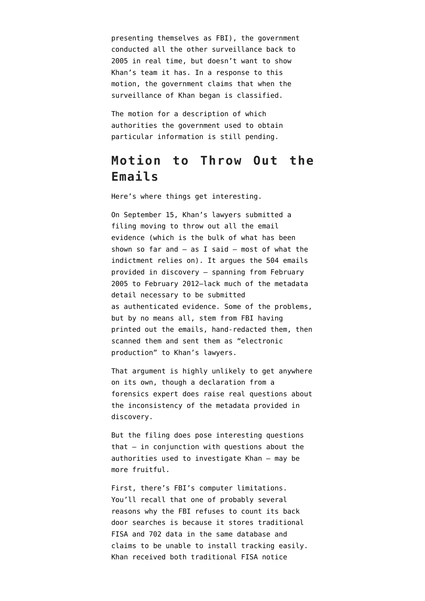presenting themselves as FBI), the government conducted all the other surveillance back to 2005 in real time, but doesn't want to show Khan's team it has. In a response to this motion, the government claims that when the surveillance of Khan began is classified.

The motion for a description of which authorities the government used to obtain particular information is still pending.

## **Motion to Throw Out the Emails**

Here's where things get interesting.

On September 15, Khan's lawyers submitted a [filing](http://www.emptywheel.net/wp-content/uploads/2014/09/140915-Motion-to-Preclude-Email1.pdf) moving to throw out all the email evidence (which is the bulk of what has been shown so far and  $-$  as I said  $-$  most of what the indictment relies on). It argues the 504 emails provided in discovery — spanning from February 2005 to February 2012–lack much of the metadata detail necessary to be submitted as authenticated evidence. Some of the problems, but by no means all, stem from FBI having printed out the emails, hand-redacted them, then scanned them and sent them as "electronic production" to Khan's lawyers.

That argument is highly unlikely to get anywhere on its own, though a declaration from a forensics expert does raise real questions about the inconsistency of the metadata provided in discovery.

But the filing does pose interesting questions that — in conjunction with questions about the authorities used to investigate Khan — may be more fruitful.

First, there's FBI's computer limitations. You'll recall that [one of probably several](http://www.emptywheel.net/2014/09/04/clappers-claim-that-fbi-cannot-count-back-door-searches-for-technical-reasons-probably-bullshit/) [reasons](http://www.emptywheel.net/2014/09/04/clappers-claim-that-fbi-cannot-count-back-door-searches-for-technical-reasons-probably-bullshit/) why the FBI refuses to count its back door searches is because it stores traditional FISA and 702 data in the same database and claims to be unable to install tracking easily. Khan received both traditional FISA notice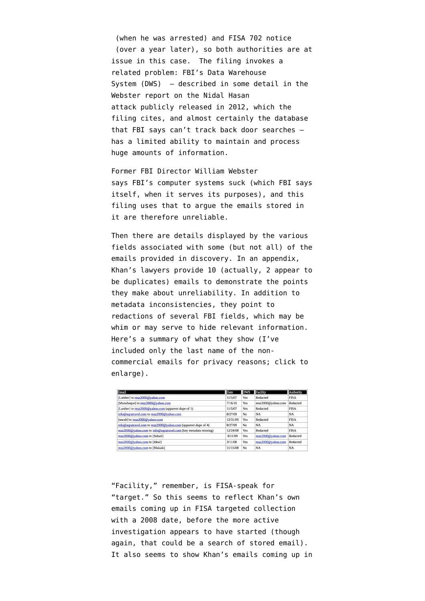(when he was arrested) and FISA 702 notice (over a year later), so both authorities are at issue in this case. The filing invokes a related problem: FBI's Data Warehouse System (DWS) — described in some detail in the Webster report on the Nidal Hasan attack [publicly released in 2012,](http://www.fbi.gov/news/pressrel/press-releases/final-report-of-the-william-h.-webster-commission) which the filing cites, and almost certainly the database that FBI says can't track back door searches has a limited ability to maintain and process huge amounts of information.

Former FBI Director William Webster says FBI's computer systems suck (which FBI says itself, when it serves its purposes), and this filing uses that to argue the emails stored in it are therefore unreliable.

Then there are details displayed by the various fields associated with some (but not all) of the emails provided in discovery. In an appendix, Khan's lawyers provide 10 (actually, 2 appear to be duplicates) emails to demonstrate the points they make about unreliability. In addition to metadata inconsistencies, they point to redactions of several FBI fields, which may be whim or may serve to hide relevant information. Here's a summary of what they show (I've included only the last name of the noncommercial emails for privacy reasons; click to enlarge).

| Email                                                            | Date     | <b>DWS</b> | Facility           | Authority       |
|------------------------------------------------------------------|----------|------------|--------------------|-----------------|
| [Latsher] to reaz2000@vahoo.com                                  | 11/5/07  | Yes        | Redacted           | <b>FISA</b>     |
| [Munahaque] to reaz2000@yahoo.com                                | 7/16/10  | Yes        | reaz2000@yahoo.com | <b>Redacted</b> |
| [Latsher] to reaz2000@vahoo.com (apparent dupe of 1)             | 11/5/07  | Yes        | Redacted           | <b>FISA</b>     |
| info@agratravel.com to reaz2000@yahoo.com                        | 8/27/09  | No         | <b>NA</b>          | <b>NA</b>       |
| [tawab] to reaz2000@yahoo.com                                    | 12/31/09 | Yes        | Redacted           | <b>FISA</b>     |
| info@agratravel.com to reaz2000@yahoo.com (apparent dupe of 4)   | 8/27/09  | No.        | <b>NA</b>          | <b>NA</b>       |
| reaz2000@yahoo.com to info@agratravel.com (key metadata missing) | 12/24/08 | Yes        | Redacted           | <b>FISA</b>     |
| reaz2000@yahoo.com to [Sohail]                                   | 8/11/09  | Yes        | reaz2000@yahoo.com | Redacted        |
| reaz2000@yahoo.com to [Ideal]                                    | 3/11/08  | Yes        | reaz2000@yahoo.com | Redacted        |
| reaz2000@yahoo.com to [Malaak]                                   | 11/15/08 | No         | <b>NA</b>          | <b>NA</b>       |

"Facility," remember, is FISA-speak for "target." So this seems to reflect Khan's own emails coming up in FISA targeted collection with a 2008 date, before the more active investigation appears to have started (though again, that could be a search of stored email). It also seems to show Khan's emails coming up in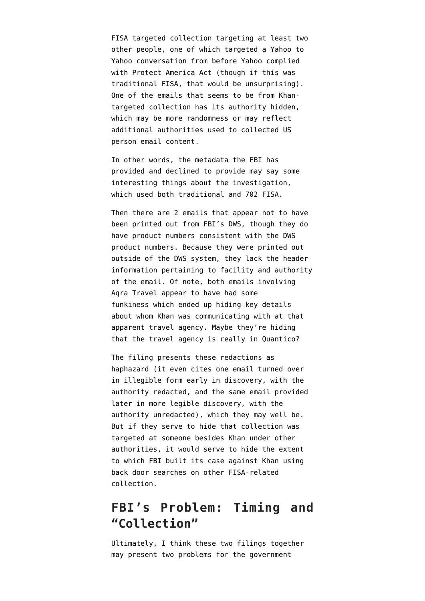FISA targeted collection targeting at least two other people, one of which targeted a Yahoo to Yahoo conversation from before Yahoo complied with Protect America Act (though if this was traditional FISA, that would be unsurprising). One of the emails that seems to be from Khantargeted collection has its authority hidden, which may be more randomness or may reflect additional authorities used to collected US person email content.

In other words, the metadata the FBI has provided and declined to provide may say some interesting things about the investigation, which used both traditional and 702 FISA.

Then there are 2 emails that appear not to have been printed out from FBI's DWS, though they do have product numbers consistent with the DWS product numbers. Because they were printed out outside of the DWS system, they lack the header information pertaining to facility and authority of the email. Of note, both emails involving Aqra Travel appear to have had some funkiness which ended up hiding key details about whom Khan was communicating with at that apparent travel agency. Maybe they're hiding that the travel agency is really in Quantico?

The filing presents these redactions as haphazard (it even cites one email turned over in illegible form early in discovery, with the authority redacted, and the same email provided later in more legible discovery, with the authority unredacted), which they may well be. But if they serve to hide that collection was targeted at someone besides Khan under other authorities, it would serve to hide the extent to which FBI built its case against Khan using back door searches on other FISA-related collection.

## **FBI's Problem: Timing and "Collection"**

Ultimately, I think these two filings together may present two problems for the government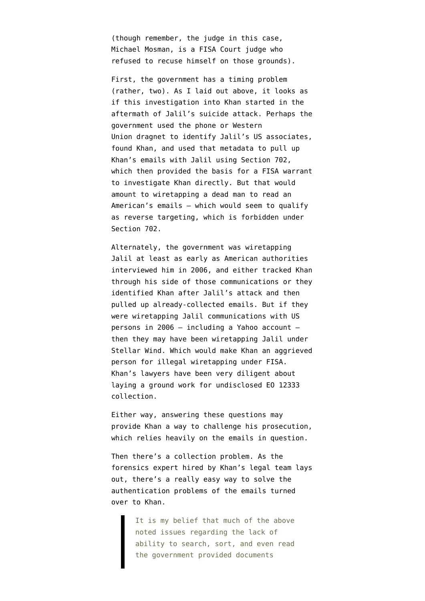(though remember, the judge in this case, Michael Mosman, is a FISA Court judge who refused to recuse himself [on those grounds](http://www.emptywheel.net/wp-content/uploads/2014/09/140505-Recusal.pdf)).

First, the government has a timing problem (rather, two). As I laid out above, it looks as if this investigation into Khan started in the aftermath of Jalil's suicide attack. Perhaps the government used the phone or Western Union dragnet to identify Jalil's US associates, found Khan, and used that metadata to pull up Khan's emails with Jalil using Section 702, which then provided the basis for a FISA warrant to investigate Khan directly. But that would amount to wiretapping a dead man to read an American's emails — which would seem to qualify as reverse targeting, which is forbidden under Section 702.

Alternately, the government was wiretapping Jalil at least as early as American authorities interviewed him in 2006, and either tracked Khan through his side of those communications or they identified Khan after Jalil's attack and then pulled up already-collected emails. But if they were wiretapping Jalil communications with US persons in 2006 — including a Yahoo account then they may have been wiretapping Jalil under Stellar Wind. Which would make Khan an aggrieved person for illegal wiretapping under FISA. Khan's lawyers have been very diligent about laying a ground work for undisclosed EO 12333 collection.

Either way, answering these questions may provide Khan a way to challenge his prosecution, which relies heavily on the emails in question.

Then there's a collection problem. As the forensics expert hired by Khan's legal team lays out, there's a really easy way to solve the authentication problems of the emails turned over to Khan.

> It is my belief that much of the above noted issues regarding the lack of ability to search, sort, and even read the government provided documents